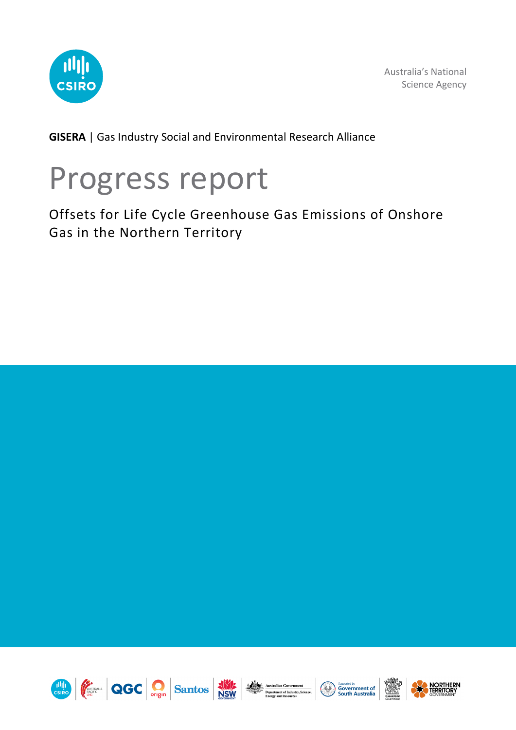

Australia's National Science Agency

**GISERA** | Gas Industry Social and Environmental Research Alliance

# Progress report

Offsets for Life Cycle Greenhouse Gas Emissions of Onshore Gas in the Northern Territory













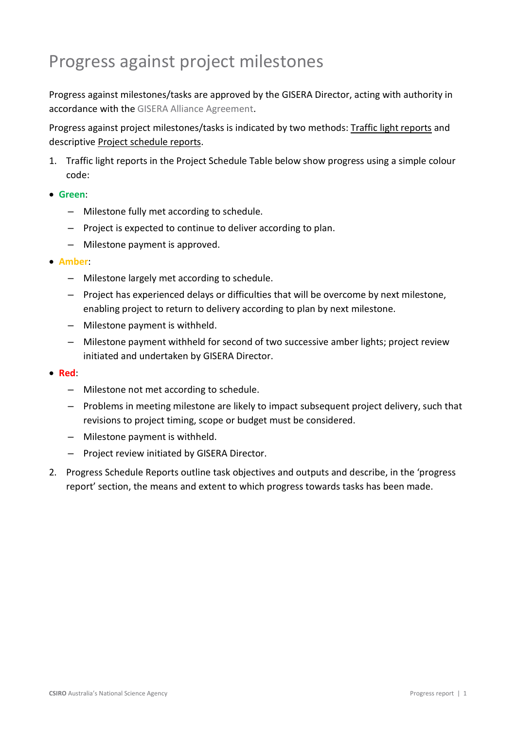## Progress against project milestones

Progress against milestones/tasks are approved by the GISERA Director, acting with authority in accordance with the [GISERA Alliance Agreement.](https://gisera.csiro.au/wp-content/uploads/2021/07/GISERA-Alliance-Agreement_fully-executed-30-June-2021_web-version.pdf)

Progress against project milestones/tasks is indicated by two methods: Traffic light reports and descriptive Project schedule reports.

1. Traffic light reports in the Project Schedule Table below show progress using a simple colour code:

#### • **Green**:

- Milestone fully met according to schedule.
- Project is expected to continue to deliver according to plan.
- Milestone payment is approved.

#### • **Amber**:

- Milestone largely met according to schedule.
- Project has experienced delays or difficulties that will be overcome by next milestone, enabling project to return to delivery according to plan by next milestone.
- Milestone payment is withheld.
- Milestone payment withheld for second of two successive amber lights; project review initiated and undertaken by GISERA Director.

#### • **Red**:

- Milestone not met according to schedule.
- Problems in meeting milestone are likely to impact subsequent project delivery, such that revisions to project timing, scope or budget must be considered.
- Milestone payment is withheld.
- Project review initiated by GISERA Director.
- 2. Progress Schedule Reports outline task objectives and outputs and describe, in the 'progress report' section, the means and extent to which progress towards tasks has been made.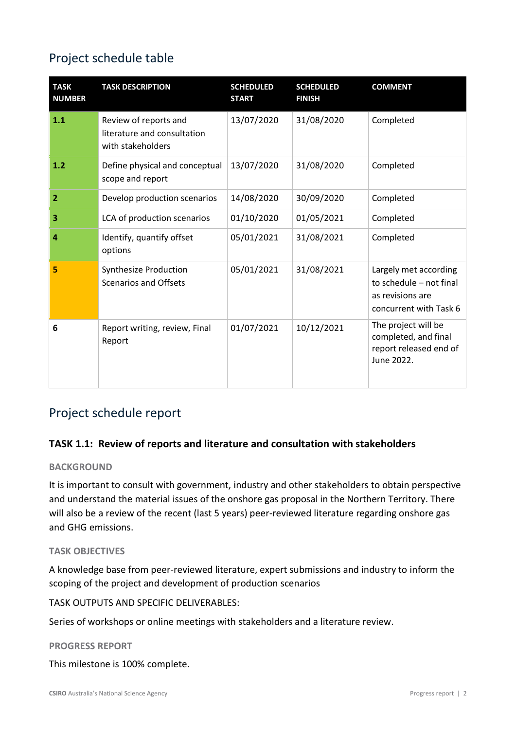## Project schedule table

| <b>TASK</b><br><b>NUMBER</b> | <b>TASK DESCRIPTION</b>                                                   | <b>SCHEDULED</b><br><b>START</b> | <b>SCHEDULED</b><br><b>FINISH</b> | <b>COMMENT</b>                                                                                 |
|------------------------------|---------------------------------------------------------------------------|----------------------------------|-----------------------------------|------------------------------------------------------------------------------------------------|
| 1.1                          | Review of reports and<br>literature and consultation<br>with stakeholders | 13/07/2020                       | 31/08/2020                        | Completed                                                                                      |
| 1.2                          | Define physical and conceptual<br>scope and report                        | 13/07/2020                       | 31/08/2020                        | Completed                                                                                      |
| 2                            | Develop production scenarios                                              | 14/08/2020                       | 30/09/2020                        | Completed                                                                                      |
| 3                            | LCA of production scenarios                                               | 01/10/2020                       | 01/05/2021                        | Completed                                                                                      |
| 4                            | Identify, quantify offset<br>options                                      | 05/01/2021                       | 31/08/2021                        | Completed                                                                                      |
| 5                            | <b>Synthesize Production</b><br>Scenarios and Offsets                     | 05/01/2021                       | 31/08/2021                        | Largely met according<br>to schedule - not final<br>as revisions are<br>concurrent with Task 6 |
| 6                            | Report writing, review, Final<br>Report                                   | 01/07/2021                       | 10/12/2021                        | The project will be<br>completed, and final<br>report released end of<br>June 2022.            |

## Project schedule report

#### **TASK 1.1: Review of reports and literature and consultation with stakeholders**

#### **BACKGROUND**

It is important to consult with government, industry and other stakeholders to obtain perspective and understand the material issues of the onshore gas proposal in the Northern Territory. There will also be a review of the recent (last 5 years) peer-reviewed literature regarding onshore gas and GHG emissions.

#### **TASK OBJECTIVES**

A knowledge base from peer-reviewed literature, expert submissions and industry to inform the scoping of the project and development of production scenarios

TASK OUTPUTS AND SPECIFIC DELIVERABLES:

Series of workshops or online meetings with stakeholders and a literature review.

#### **PROGRESS REPORT**

This milestone is 100% complete.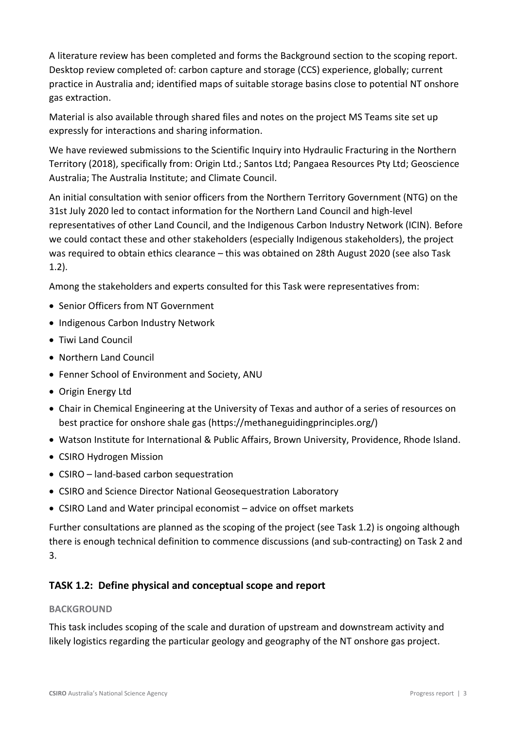A literature review has been completed and forms the Background section to the scoping report. Desktop review completed of: carbon capture and storage (CCS) experience, globally; current practice in Australia and; identified maps of suitable storage basins close to potential NT onshore gas extraction.

Material is also available through shared files and notes on the project MS Teams site set up expressly for interactions and sharing information.

We have reviewed submissions to the Scientific Inquiry into Hydraulic Fracturing in the Northern Territory (2018), specifically from: Origin Ltd.; Santos Ltd; Pangaea Resources Pty Ltd; Geoscience Australia; The Australia Institute; and Climate Council.

An initial consultation with senior officers from the Northern Territory Government (NTG) on the 31st July 2020 led to contact information for the Northern Land Council and high-level representatives of other Land Council, and the Indigenous Carbon Industry Network (ICIN). Before we could contact these and other stakeholders (especially Indigenous stakeholders), the project was required to obtain ethics clearance – this was obtained on 28th August 2020 (see also Task 1.2).

Among the stakeholders and experts consulted for this Task were representatives from:

- Senior Officers from NT Government
- Indigenous Carbon Industry Network
- Tiwi Land Council
- Northern Land Council
- Fenner School of Environment and Society, ANU
- Origin Energy Ltd
- Chair in Chemical Engineering at the University of Texas and author of a series of resources on best practice for onshore shale gas [\(https://methaneguidingprinciples.org/\)](https://methaneguidingprinciples.org/)
- Watson Institute for International & Public Affairs, Brown University, Providence, Rhode Island.
- CSIRO Hydrogen Mission
- CSIRO land-based carbon sequestration
- CSIRO and Science Director National Geosequestration Laboratory
- CSIRO Land and Water principal economist advice on offset markets

Further consultations are planned as the scoping of the project (see Task 1.2) is ongoing although there is enough technical definition to commence discussions (and sub-contracting) on Task 2 and 3.

#### **TASK 1.2: Define physical and conceptual scope and report**

#### **BACKGROUND**

This task includes scoping of the scale and duration of upstream and downstream activity and likely logistics regarding the particular geology and geography of the NT onshore gas project.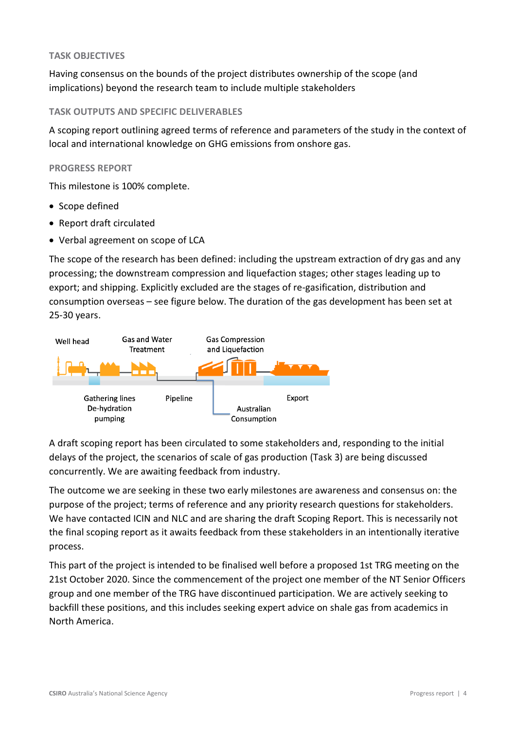#### **TASK OBJECTIVES**

Having consensus on the bounds of the project distributes ownership of the scope (and implications) beyond the research team to include multiple stakeholders

#### **TASK OUTPUTS AND SPECIFIC DELIVERABLES**

A scoping report outlining agreed terms of reference and parameters of the study in the context of local and international knowledge on GHG emissions from onshore gas.

#### **PROGRESS REPORT**

This milestone is 100% complete.

- Scope defined
- Report draft circulated
- Verbal agreement on scope of LCA

The scope of the research has been defined: including the upstream extraction of dry gas and any processing; the downstream compression and liquefaction stages; other stages leading up to export; and shipping. Explicitly excluded are the stages of re-gasification, distribution and consumption overseas – see figure below. The duration of the gas development has been set at 25-30 years.



A draft scoping report has been circulated to some stakeholders and, responding to the initial delays of the project, the scenarios of scale of gas production (Task 3) are being discussed concurrently. We are awaiting feedback from industry.

The outcome we are seeking in these two early milestones are awareness and consensus on: the purpose of the project; terms of reference and any priority research questions for stakeholders. We have contacted ICIN and NLC and are sharing the draft Scoping Report. This is necessarily not the final scoping report as it awaits feedback from these stakeholders in an intentionally iterative process.

This part of the project is intended to be finalised well before a proposed 1st TRG meeting on the 21st October 2020. Since the commencement of the project one member of the NT Senior Officers group and one member of the TRG have discontinued participation. We are actively seeking to backfill these positions, and this includes seeking expert advice on shale gas from academics in North America.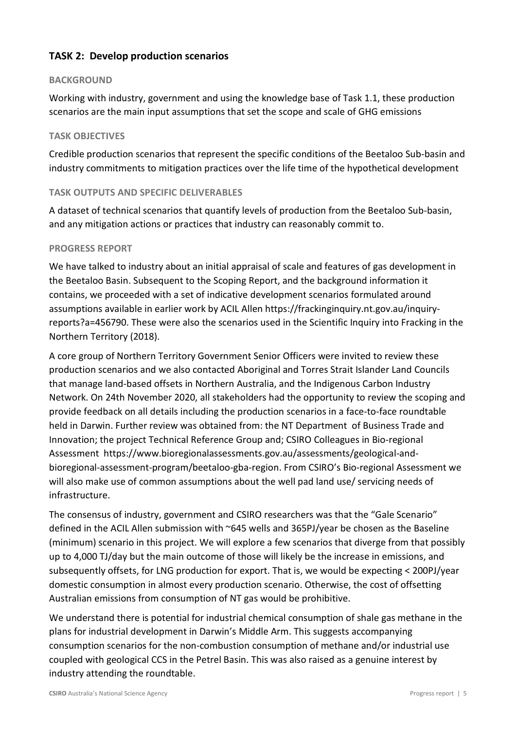#### **TASK 2: Develop production scenarios**

#### **BACKGROUND**

Working with industry, government and using the knowledge base of Task 1.1, these production scenarios are the main input assumptions that set the scope and scale of GHG emissions

#### **TASK OBJECTIVES**

Credible production scenarios that represent the specific conditions of the Beetaloo Sub-basin and industry commitments to mitigation practices over the life time of the hypothetical development

#### **TASK OUTPUTS AND SPECIFIC DELIVERABLES**

A dataset of technical scenarios that quantify levels of production from the Beetaloo Sub-basin, and any mitigation actions or practices that industry can reasonably commit to.

#### **PROGRESS REPORT**

We have talked to industry about an initial appraisal of scale and features of gas development in the Beetaloo Basin. Subsequent to the Scoping Report, and the background information it contains, we proceeded with a set of indicative development scenarios formulated around assumptions available in earlier work by ACIL Allen [https://frackinginquiry.nt.gov.au/inquiry](https://frackinginquiry.nt.gov.au/inquiry-reports?a=456790)[reports?a=456790.](https://frackinginquiry.nt.gov.au/inquiry-reports?a=456790) These were also the scenarios used in the Scientific Inquiry into Fracking in the Northern Territory (2018).

A core group of Northern Territory Government Senior Officers were invited to review these production scenarios and we also contacted Aboriginal and Torres Strait Islander Land Councils that manage land-based offsets in Northern Australia, and the Indigenous Carbon Industry Network. On 24th November 2020, all stakeholders had the opportunity to review the scoping and provide feedback on all details including the production scenarios in a face-to-face roundtable held in Darwin. Further review was obtained from: the NT Department of Business Trade and Innovation; the project Technical Reference Group and; CSIRO Colleagues in Bio-regional Assessment [https://www.bioregionalassessments.gov.au/assessments/geological-and](https://www.bioregionalassessments.gov.au/assessments/geological-and-bioregional-assessment-program/beetaloo-gba-region)[bioregional-assessment-program/beetaloo-gba-region.](https://www.bioregionalassessments.gov.au/assessments/geological-and-bioregional-assessment-program/beetaloo-gba-region) From CSIRO's Bio-regional Assessment we will also make use of common assumptions about the well pad land use/ servicing needs of infrastructure.

The consensus of industry, government and CSIRO researchers was that the "Gale Scenario" defined in the ACIL Allen submission with ~645 wells and 365PJ/year be chosen as the Baseline (minimum) scenario in this project. We will explore a few scenarios that diverge from that possibly up to 4,000 TJ/day but the main outcome of those will likely be the increase in emissions, and subsequently offsets, for LNG production for export. That is, we would be expecting < 200PJ/year domestic consumption in almost every production scenario. Otherwise, the cost of offsetting Australian emissions from consumption of NT gas would be prohibitive.

We understand there is potential for industrial chemical consumption of shale gas methane in the plans for industrial development in Darwin's Middle Arm. This suggests accompanying consumption scenarios for the non-combustion consumption of methane and/or industrial use coupled with geological CCS in the Petrel Basin. This was also raised as a genuine interest by industry attending the roundtable.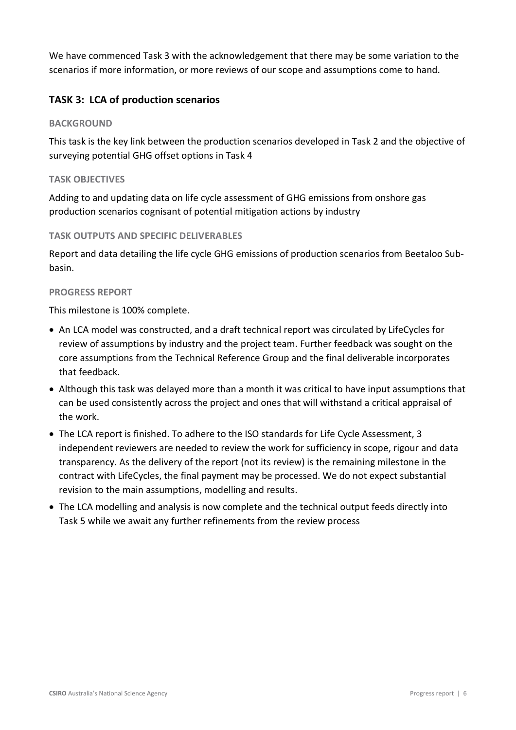We have commenced Task 3 with the acknowledgement that there may be some variation to the scenarios if more information, or more reviews of our scope and assumptions come to hand.

#### **TASK 3: LCA of production scenarios**

#### **BACKGROUND**

This task is the key link between the production scenarios developed in Task 2 and the objective of surveying potential GHG offset options in Task 4

#### **TASK OBJECTIVES**

Adding to and updating data on life cycle assessment of GHG emissions from onshore gas production scenarios cognisant of potential mitigation actions by industry

#### **TASK OUTPUTS AND SPECIFIC DELIVERABLES**

Report and data detailing the life cycle GHG emissions of production scenarios from Beetaloo Subbasin.

#### **PROGRESS REPORT**

This milestone is 100% complete.

- An LCA model was constructed, and a draft technical report was circulated by LifeCycles for review of assumptions by industry and the project team. Further feedback was sought on the core assumptions from the Technical Reference Group and the final deliverable incorporates that feedback.
- Although this task was delayed more than a month it was critical to have input assumptions that can be used consistently across the project and ones that will withstand a critical appraisal of the work.
- The LCA report is finished. To adhere to the ISO standards for Life Cycle Assessment, 3 independent reviewers are needed to review the work for sufficiency in scope, rigour and data transparency. As the delivery of the report (not its review) is the remaining milestone in the contract with LifeCycles, the final payment may be processed. We do not expect substantial revision to the main assumptions, modelling and results.
- The LCA modelling and analysis is now complete and the technical output feeds directly into Task 5 while we await any further refinements from the review process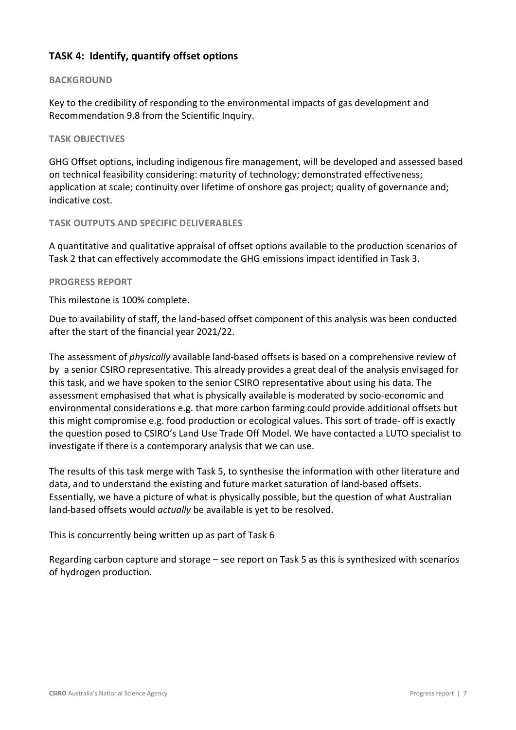#### **TASK 4: Identify, quantify offset options**

#### **BACKGROUND**

Key to the credibility of responding to the environmental impacts of gas development and Recommendation 9.8 from the Scientific Inquiry.

#### **TASK OBJECTIVES**

GHG Offset options, including indigenous fire management, will be developed and assessed based on technical feasibility considering: maturity of technology; demonstrated effectiveness; application at scale; continuity over lifetime of onshore gas project; quality of governance and; indicative cost.

#### **TASK OUTPUTS AND SPECIFIC DELIVERABLES**

A quantitative and qualitative appraisal of offset options available to the production scenarios of Task 2 that can effectively accommodate the GHG emissions impact identified in Task 3.

#### **PROGRESS REPORT**

This milestone is 100% complete.

Due to availability of staff, the land-based offset component of this analysis was been conducted after the start of the financial year 2021/22.

The assessment of *physically* available land-based offsets is based on a comprehensive review of by a senior CSIRO representative. This already provides a great deal of the analysis envisaged for this task, and we have spoken to the senior CSIRO representative about using his data. The assessment emphasised that what is physically available is moderated by socio-economic and environmental considerations e.g. that more carbon farming could provide additional offsets but this might compromise e.g. food production or ecological values. This sort of trade- off is exactly the question posed to CSIRO's Land Use Trade Off Model. We have contacted a LUTO specialist to investigate if there is a contemporary analysis that we can use.

The results of this task merge with Task 5, to synthesise the information with other literature and data, and to understand the existing and future market saturation of land-based offsets. Essentially, we have a picture of what is physically possible, but the question of what Australian land-based offsets would *actually* be available is yet to be resolved.

This is concurrently being written up as part of Task 6

Regarding carbon capture and storage – see report on Task 5 as this is synthesized with scenarios of hydrogen production.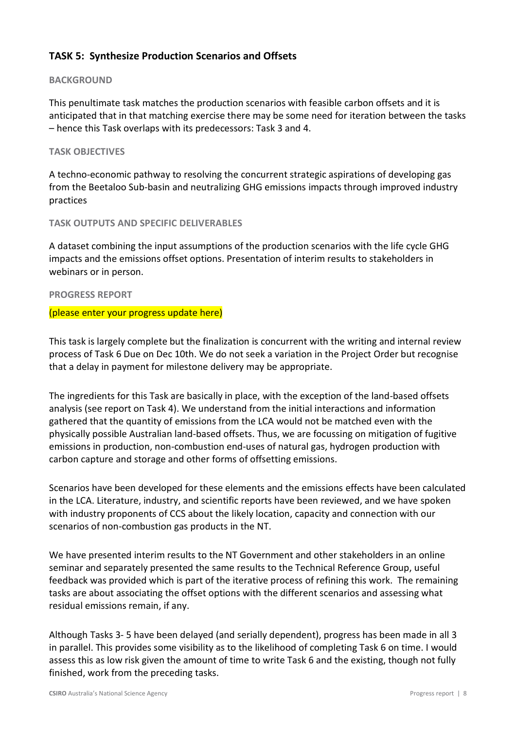#### **TASK 5: Synthesize Production Scenarios and Offsets**

#### **BACKGROUND**

This penultimate task matches the production scenarios with feasible carbon offsets and it is anticipated that in that matching exercise there may be some need for iteration between the tasks – hence this Task overlaps with its predecessors: Task 3 and 4.

#### **TASK OBJECTIVES**

A techno-economic pathway to resolving the concurrent strategic aspirations of developing gas from the Beetaloo Sub-basin and neutralizing GHG emissions impacts through improved industry practices

#### **TASK OUTPUTS AND SPECIFIC DELIVERABLES**

A dataset combining the input assumptions of the production scenarios with the life cycle GHG impacts and the emissions offset options. Presentation of interim results to stakeholders in webinars or in person.

#### **PROGRESS REPORT**

#### (please enter your progress update here)

This task is largely complete but the finalization is concurrent with the writing and internal review process of Task 6 Due on Dec 10th. We do not seek a variation in the Project Order but recognise that a delay in payment for milestone delivery may be appropriate.

The ingredients for this Task are basically in place, with the exception of the land-based offsets analysis (see report on Task 4). We understand from the initial interactions and information gathered that the quantity of emissions from the LCA would not be matched even with the physically possible Australian land-based offsets. Thus, we are focussing on mitigation of fugitive emissions in production, non-combustion end-uses of natural gas, hydrogen production with carbon capture and storage and other forms of offsetting emissions.

Scenarios have been developed for these elements and the emissions effects have been calculated in the LCA. Literature, industry, and scientific reports have been reviewed, and we have spoken with industry proponents of CCS about the likely location, capacity and connection with our scenarios of non-combustion gas products in the NT.

We have presented interim results to the NT Government and other stakeholders in an online seminar and separately presented the same results to the Technical Reference Group, useful feedback was provided which is part of the iterative process of refining this work. The remaining tasks are about associating the offset options with the different scenarios and assessing what residual emissions remain, if any.

Although Tasks 3- 5 have been delayed (and serially dependent), progress has been made in all 3 in parallel. This provides some visibility as to the likelihood of completing Task 6 on time. I would assess this as low risk given the amount of time to write Task 6 and the existing, though not fully finished, work from the preceding tasks.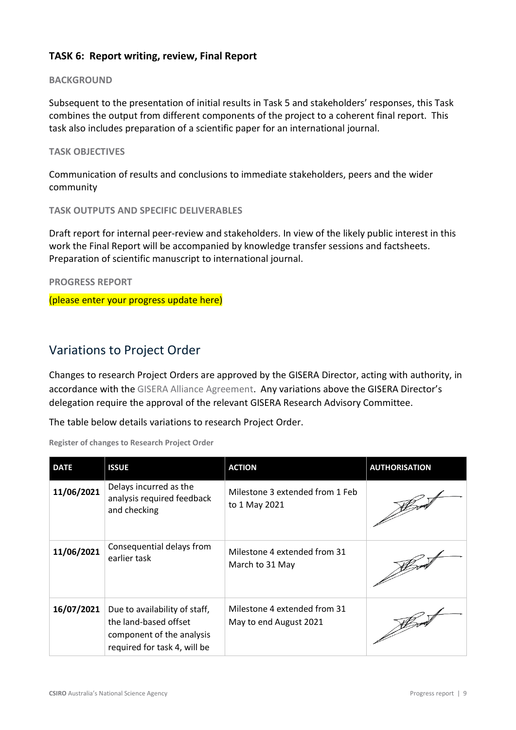#### **TASK 6: Report writing, review, Final Report**

#### **BACKGROUND**

Subsequent to the presentation of initial results in Task 5 and stakeholders' responses, this Task combines the output from different components of the project to a coherent final report. This task also includes preparation of a scientific paper for an international journal.

#### **TASK OBJECTIVES**

Communication of results and conclusions to immediate stakeholders, peers and the wider community

**TASK OUTPUTS AND SPECIFIC DELIVERABLES**

Draft report for internal peer-review and stakeholders. In view of the likely public interest in this work the Final Report will be accompanied by knowledge transfer sessions and factsheets. Preparation of scientific manuscript to international journal.

**PROGRESS REPORT**

(please enter your progress update here)

### Variations to Project Order

Changes to research Project Orders are approved by the GISERA Director, acting with authority, in accordance with the [GISERA Alliance Agreement.](https://gisera.csiro.au/wp-content/uploads/2021/07/GISERA-Alliance-Agreement_fully-executed-30-June-2021_web-version.pdf) Any variations above the GISERA Director's delegation require the approval of the relevant GISERA Research Advisory Committee.

The table below details variations to research Project Order.

**Register of changes to Research Project Order**

| <b>DATE</b> | <b>ISSUE</b>                                                                                                        | <b>ACTION</b>                                          | <b>AUTHORISATION</b> |
|-------------|---------------------------------------------------------------------------------------------------------------------|--------------------------------------------------------|----------------------|
| 11/06/2021  | Delays incurred as the<br>analysis required feedback<br>and checking                                                | Milestone 3 extended from 1 Feb<br>to 1 May 2021       |                      |
| 11/06/2021  | Consequential delays from<br>earlier task                                                                           | Milestone 4 extended from 31<br>March to 31 May        |                      |
| 16/07/2021  | Due to availability of staff,<br>the land-based offset<br>component of the analysis<br>required for task 4, will be | Milestone 4 extended from 31<br>May to end August 2021 |                      |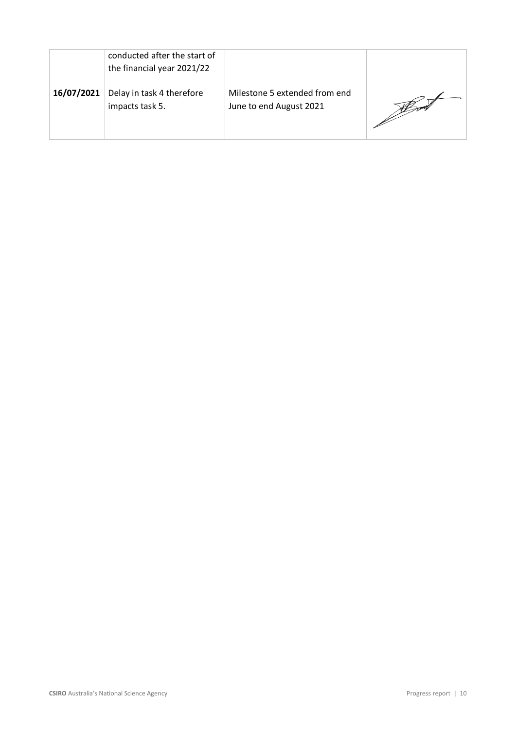|            | conducted after the start of<br>the financial year 2021/22 |                                                          |  |
|------------|------------------------------------------------------------|----------------------------------------------------------|--|
| 16/07/2021 | Delay in task 4 therefore<br>impacts task 5.               | Milestone 5 extended from end<br>June to end August 2021 |  |